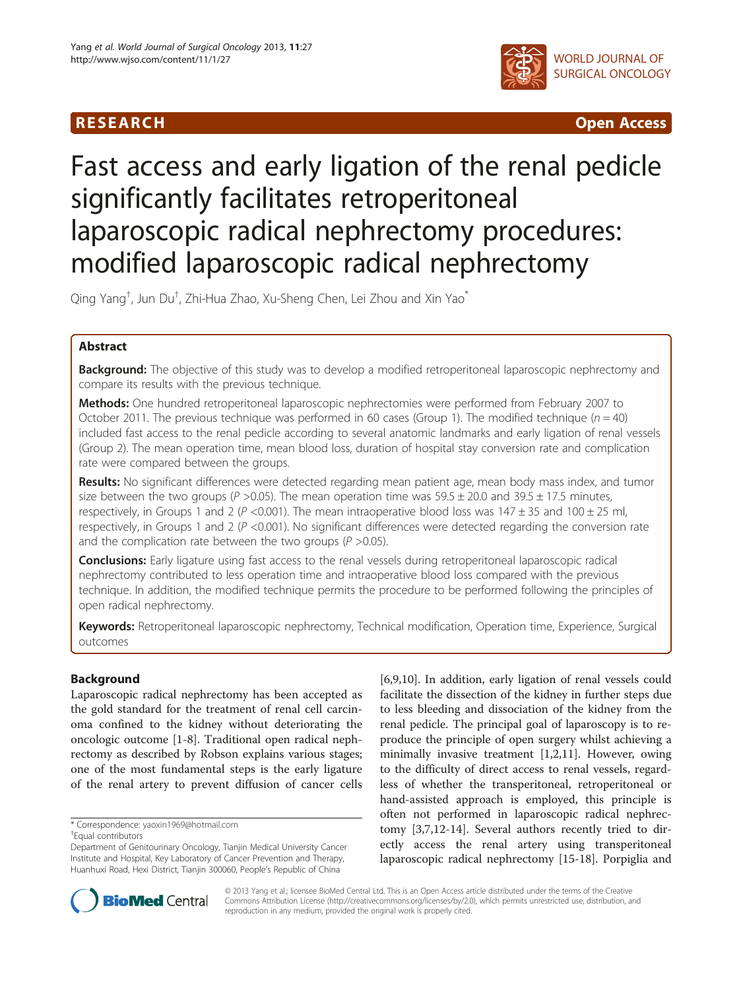

**RESEARCH CHINESE ARCH CHINESE ARCHITECT ACCESS** 

# Fast access and early ligation of the renal pedicle significantly facilitates retroperitoneal laparoscopic radical nephrectomy procedures: modified laparoscopic radical nephrectomy

Qing Yang<sup>†</sup>, Jun Du<sup>†</sup>, Zhi-Hua Zhao, Xu-Sheng Chen, Lei Zhou and Xin Yao<sup>\*</sup>

# Abstract

**Background:** The objective of this study was to develop a modified retroperitoneal laparoscopic nephrectomy and compare its results with the previous technique.

Methods: One hundred retroperitoneal laparoscopic nephrectomies were performed from February 2007 to October 2011. The previous technique was performed in 60 cases (Group 1). The modified technique ( $n = 40$ ) included fast access to the renal pedicle according to several anatomic landmarks and early ligation of renal vessels (Group 2). The mean operation time, mean blood loss, duration of hospital stay conversion rate and complication rate were compared between the groups.

Results: No significant differences were detected regarding mean patient age, mean body mass index, and tumor size between the two groups ( $P > 0.05$ ). The mean operation time was  $59.5 \pm 20.0$  and  $39.5 \pm 17.5$  minutes, respectively, in Groups 1 and 2 ( $P < 0.001$ ). The mean intraoperative blood loss was  $147 \pm 35$  and  $100 \pm 25$  ml, respectively, in Groups 1 and 2 (P <0.001). No significant differences were detected regarding the conversion rate and the complication rate between the two groups ( $P > 0.05$ ).

**Conclusions:** Early ligature using fast access to the renal vessels during retroperitoneal laparoscopic radical nephrectomy contributed to less operation time and intraoperative blood loss compared with the previous technique. In addition, the modified technique permits the procedure to be performed following the principles of open radical nephrectomy.

Keywords: Retroperitoneal laparoscopic nephrectomy, Technical modification, Operation time, Experience, Surgical outcomes

# Background

Laparoscopic radical nephrectomy has been accepted as the gold standard for the treatment of renal cell carcinoma confined to the kidney without deteriorating the oncologic outcome [[1-8\]](#page-4-0). Traditional open radical nephrectomy as described by Robson explains various stages; one of the most fundamental steps is the early ligature of the renal artery to prevent diffusion of cancer cells

\* Correspondence: [yaoxin1969@hotmail.com](mailto:yaoxin1969@hotmail.com) †

Equal contributors

[[6,9,10\]](#page-4-0). In addition, early ligation of renal vessels could facilitate the dissection of the kidney in further steps due to less bleeding and dissociation of the kidney from the renal pedicle. The principal goal of laparoscopy is to reproduce the principle of open surgery whilst achieving a minimally invasive treatment [\[1,2,11](#page-4-0)]. However, owing to the difficulty of direct access to renal vessels, regardless of whether the transperitoneal, retroperitoneal or hand-assisted approach is employed, this principle is often not performed in laparoscopic radical nephrectomy [\[3,7](#page-4-0),[12](#page-4-0)-[14\]](#page-4-0). Several authors recently tried to directly access the renal artery using transperitoneal laparoscopic radical nephrectomy [\[15-18](#page-4-0)]. Porpiglia and



© 2013 Yang et al.; licensee BioMed Central Ltd. This is an Open Access article distributed under the terms of the Creative Commons Attribution License [\(http://creativecommons.org/licenses/by/2.0\)](http://creativecommons.org/licenses/by/2.0), which permits unrestricted use, distribution, and reproduction in any medium, provided the original work is properly cited.

Department of Genitourinary Oncology, Tianjin Medical University Cancer Institute and Hospital, Key Laboratory of Cancer Prevention and Therapy, Huanhuxi Road, Hexi District, Tianjin 300060, People's Republic of China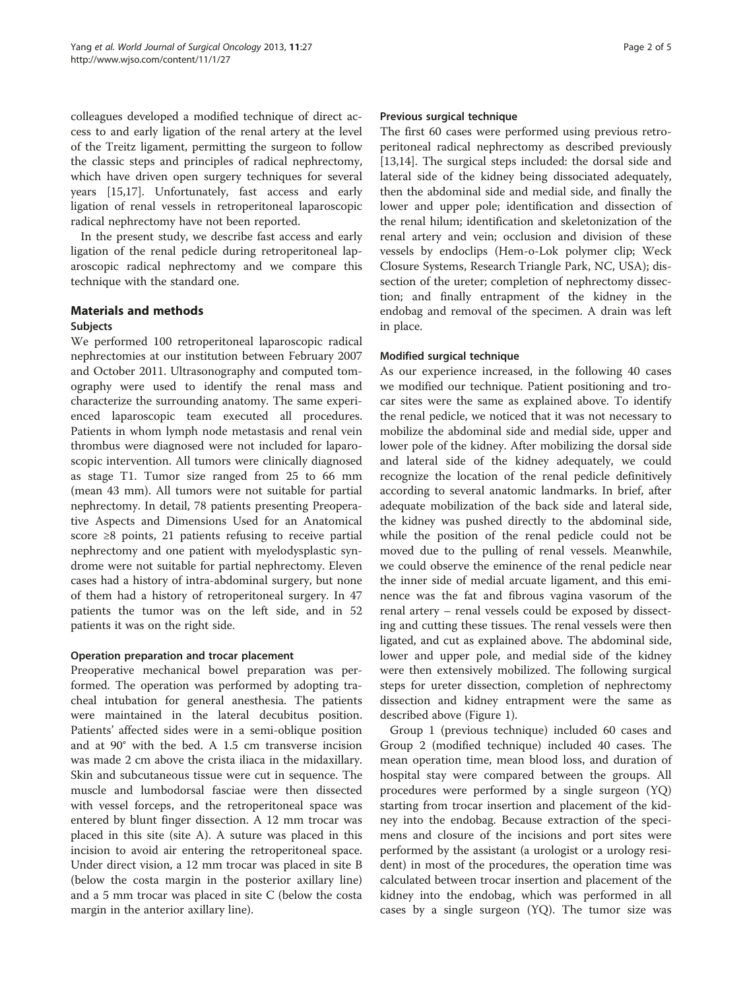colleagues developed a modified technique of direct access to and early ligation of the renal artery at the level of the Treitz ligament, permitting the surgeon to follow the classic steps and principles of radical nephrectomy, which have driven open surgery techniques for several years [[15,17\]](#page-4-0). Unfortunately, fast access and early ligation of renal vessels in retroperitoneal laparoscopic radical nephrectomy have not been reported.

In the present study, we describe fast access and early ligation of the renal pedicle during retroperitoneal laparoscopic radical nephrectomy and we compare this technique with the standard one.

# Materials and methods

## **Subjects**

We performed 100 retroperitoneal laparoscopic radical nephrectomies at our institution between February 2007 and October 2011. Ultrasonography and computed tomography were used to identify the renal mass and characterize the surrounding anatomy. The same experienced laparoscopic team executed all procedures. Patients in whom lymph node metastasis and renal vein thrombus were diagnosed were not included for laparoscopic intervention. All tumors were clinically diagnosed as stage T1. Tumor size ranged from 25 to 66 mm (mean 43 mm). All tumors were not suitable for partial nephrectomy. In detail, 78 patients presenting Preoperative Aspects and Dimensions Used for an Anatomical score ≥8 points, 21 patients refusing to receive partial nephrectomy and one patient with myelodysplastic syndrome were not suitable for partial nephrectomy. Eleven cases had a history of intra-abdominal surgery, but none of them had a history of retroperitoneal surgery. In 47 patients the tumor was on the left side, and in 52 patients it was on the right side.

### Operation preparation and trocar placement

Preoperative mechanical bowel preparation was performed. The operation was performed by adopting tracheal intubation for general anesthesia. The patients were maintained in the lateral decubitus position. Patients' affected sides were in a semi-oblique position and at 90° with the bed. A 1.5 cm transverse incision was made 2 cm above the crista iliaca in the midaxillary. Skin and subcutaneous tissue were cut in sequence. The muscle and lumbodorsal fasciae were then dissected with vessel forceps, and the retroperitoneal space was entered by blunt finger dissection. A 12 mm trocar was placed in this site (site A). A suture was placed in this incision to avoid air entering the retroperitoneal space. Under direct vision, a 12 mm trocar was placed in site B (below the costa margin in the posterior axillary line) and a 5 mm trocar was placed in site C (below the costa margin in the anterior axillary line).

### Previous surgical technique

The first 60 cases were performed using previous retroperitoneal radical nephrectomy as described previously [[13,14\]](#page-4-0). The surgical steps included: the dorsal side and lateral side of the kidney being dissociated adequately, then the abdominal side and medial side, and finally the lower and upper pole; identification and dissection of the renal hilum; identification and skeletonization of the renal artery and vein; occlusion and division of these vessels by endoclips (Hem-o-Lok polymer clip; Weck Closure Systems, Research Triangle Park, NC, USA); dissection of the ureter; completion of nephrectomy dissection; and finally entrapment of the kidney in the endobag and removal of the specimen. A drain was left in place.

### Modified surgical technique

As our experience increased, in the following 40 cases we modified our technique. Patient positioning and trocar sites were the same as explained above. To identify the renal pedicle, we noticed that it was not necessary to mobilize the abdominal side and medial side, upper and lower pole of the kidney. After mobilizing the dorsal side and lateral side of the kidney adequately, we could recognize the location of the renal pedicle definitively according to several anatomic landmarks. In brief, after adequate mobilization of the back side and lateral side, the kidney was pushed directly to the abdominal side, while the position of the renal pedicle could not be moved due to the pulling of renal vessels. Meanwhile, we could observe the eminence of the renal pedicle near the inner side of medial arcuate ligament, and this eminence was the fat and fibrous vagina vasorum of the renal artery – renal vessels could be exposed by dissecting and cutting these tissues. The renal vessels were then ligated, and cut as explained above. The abdominal side, lower and upper pole, and medial side of the kidney were then extensively mobilized. The following surgical steps for ureter dissection, completion of nephrectomy dissection and kidney entrapment were the same as described above (Figure [1\)](#page-2-0).

Group 1 (previous technique) included 60 cases and Group 2 (modified technique) included 40 cases. The mean operation time, mean blood loss, and duration of hospital stay were compared between the groups. All procedures were performed by a single surgeon (YQ) starting from trocar insertion and placement of the kidney into the endobag. Because extraction of the specimens and closure of the incisions and port sites were performed by the assistant (a urologist or a urology resident) in most of the procedures, the operation time was calculated between trocar insertion and placement of the kidney into the endobag, which was performed in all cases by a single surgeon (YQ). The tumor size was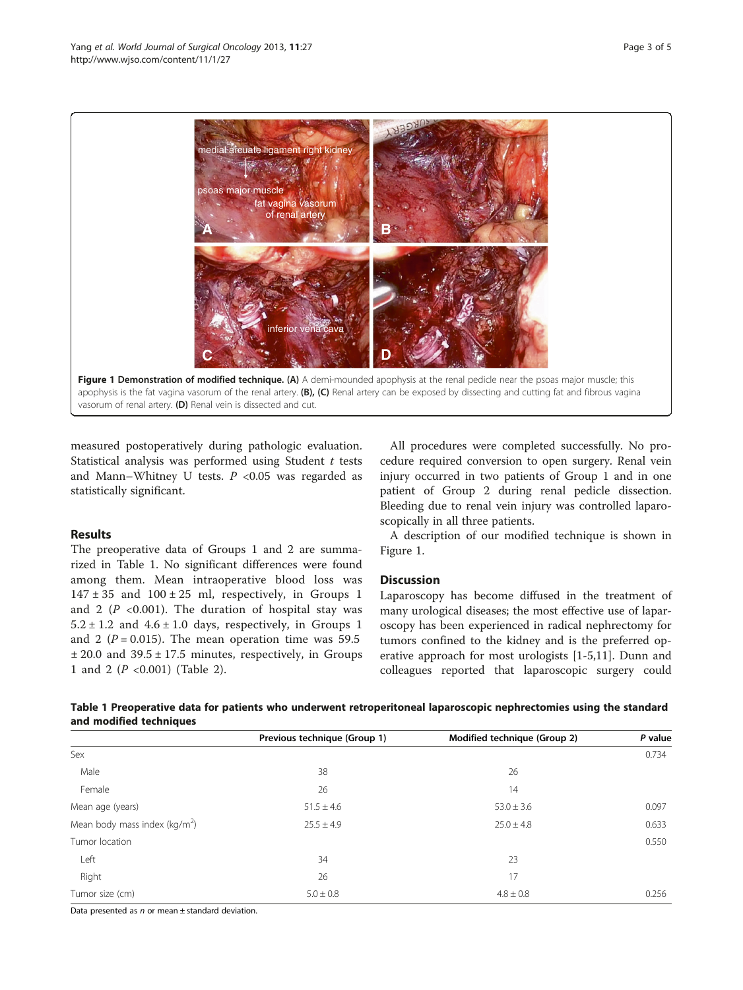<span id="page-2-0"></span>

measured postoperatively during pathologic evaluation. Statistical analysis was performed using Student t tests and Mann–Whitney U tests.  $P < 0.05$  was regarded as statistically significant.

### Results

The preoperative data of Groups 1 and 2 are summarized in Table 1. No significant differences were found among them. Mean intraoperative blood loss was  $147 \pm 35$  and  $100 \pm 25$  ml, respectively, in Groups 1 and 2 ( $P$  <0.001). The duration of hospital stay was  $5.2 \pm 1.2$  and  $4.6 \pm 1.0$  days, respectively, in Groups 1 and 2 ( $P = 0.015$ ). The mean operation time was 59.5  $± 20.0$  and  $39.5 ± 17.5$  minutes, respectively, in Groups 1 and 2 (P <0.001) (Table [2](#page-3-0)).

All procedures were completed successfully. No procedure required conversion to open surgery. Renal vein injury occurred in two patients of Group 1 and in one patient of Group 2 during renal pedicle dissection. Bleeding due to renal vein injury was controlled laparoscopically in all three patients.

A description of our modified technique is shown in Figure 1.

# **Discussion**

Laparoscopy has become diffused in the treatment of many urological diseases; the most effective use of laparoscopy has been experienced in radical nephrectomy for tumors confined to the kidney and is the preferred operative approach for most urologists [\[1](#page-4-0)-[5,11\]](#page-4-0). Dunn and colleagues reported that laparoscopic surgery could

|                         |  | Table 1 Preoperative data for patients who underwent retroperitoneal laparoscopic nephrectomies using the standard |
|-------------------------|--|--------------------------------------------------------------------------------------------------------------------|
| and modified techniques |  |                                                                                                                    |

|                                           | Previous technique (Group 1) | Modified technique (Group 2) | P value |
|-------------------------------------------|------------------------------|------------------------------|---------|
| Sex                                       |                              |                              | 0.734   |
| Male                                      | 38                           | 26                           |         |
| Female                                    | 26                           | 14                           |         |
| Mean age (years)                          | $51.5 \pm 4.6$               | $53.0 \pm 3.6$               | 0.097   |
| Mean body mass index (kg/m <sup>2</sup> ) | $25.5 \pm 4.9$               | $25.0 \pm 4.8$               | 0.633   |
| Tumor location                            |                              |                              | 0.550   |
| Left                                      | 34                           | 23                           |         |
| Right                                     | 26                           | 17                           |         |
| Tumor size (cm)                           | $5.0 \pm 0.8$                | $4.8 \pm 0.8$                | 0.256   |

Data presented as  $n$  or mean  $\pm$  standard deviation.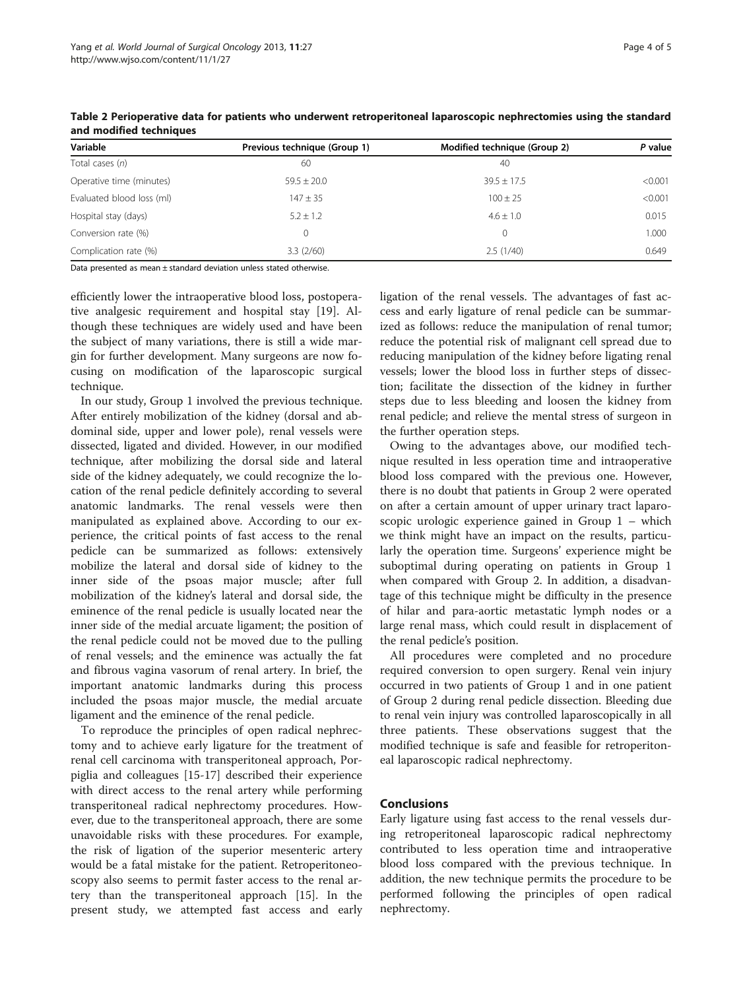| Variable                  | Previous technique (Group 1) | Modified technique (Group 2) | P value |
|---------------------------|------------------------------|------------------------------|---------|
| Total cases (n)           | 60                           | 40                           |         |
| Operative time (minutes)  | $59.5 + 20.0$                | $39.5 + 17.5$                | < 0.001 |
| Evaluated blood loss (ml) | $147 \pm 35$                 | $100 \pm 25$                 | < 0.001 |
| Hospital stay (days)      | $5.2 \pm 1.2$                | $4.6 \pm 1.0$                | 0.015   |
| Conversion rate (%)       |                              | $\Omega$                     | 1.000   |
| Complication rate (%)     | 3.3(2/60)                    | 2.5(1/40)                    | 0.649   |

<span id="page-3-0"></span>Table 2 Perioperative data for patients who underwent retroperitoneal laparoscopic nephrectomies using the standard and modified techniques

Data presented as mean ± standard deviation unless stated otherwise.

efficiently lower the intraoperative blood loss, postoperative analgesic requirement and hospital stay [[19\]](#page-4-0). Although these techniques are widely used and have been the subject of many variations, there is still a wide margin for further development. Many surgeons are now focusing on modification of the laparoscopic surgical technique.

In our study, Group 1 involved the previous technique. After entirely mobilization of the kidney (dorsal and abdominal side, upper and lower pole), renal vessels were dissected, ligated and divided. However, in our modified technique, after mobilizing the dorsal side and lateral side of the kidney adequately, we could recognize the location of the renal pedicle definitely according to several anatomic landmarks. The renal vessels were then manipulated as explained above. According to our experience, the critical points of fast access to the renal pedicle can be summarized as follows: extensively mobilize the lateral and dorsal side of kidney to the inner side of the psoas major muscle; after full mobilization of the kidney's lateral and dorsal side, the eminence of the renal pedicle is usually located near the inner side of the medial arcuate ligament; the position of the renal pedicle could not be moved due to the pulling of renal vessels; and the eminence was actually the fat and fibrous vagina vasorum of renal artery. In brief, the important anatomic landmarks during this process included the psoas major muscle, the medial arcuate ligament and the eminence of the renal pedicle.

To reproduce the principles of open radical nephrectomy and to achieve early ligature for the treatment of renal cell carcinoma with transperitoneal approach, Porpiglia and colleagues [[15](#page-4-0)-[17\]](#page-4-0) described their experience with direct access to the renal artery while performing transperitoneal radical nephrectomy procedures. However, due to the transperitoneal approach, there are some unavoidable risks with these procedures. For example, the risk of ligation of the superior mesenteric artery would be a fatal mistake for the patient. Retroperitoneoscopy also seems to permit faster access to the renal artery than the transperitoneal approach [\[15\]](#page-4-0). In the present study, we attempted fast access and early ligation of the renal vessels. The advantages of fast access and early ligature of renal pedicle can be summarized as follows: reduce the manipulation of renal tumor; reduce the potential risk of malignant cell spread due to reducing manipulation of the kidney before ligating renal vessels; lower the blood loss in further steps of dissection; facilitate the dissection of the kidney in further steps due to less bleeding and loosen the kidney from renal pedicle; and relieve the mental stress of surgeon in the further operation steps.

Owing to the advantages above, our modified technique resulted in less operation time and intraoperative blood loss compared with the previous one. However, there is no doubt that patients in Group 2 were operated on after a certain amount of upper urinary tract laparoscopic urologic experience gained in Group 1 – which we think might have an impact on the results, particularly the operation time. Surgeons' experience might be suboptimal during operating on patients in Group 1 when compared with Group 2. In addition, a disadvantage of this technique might be difficulty in the presence of hilar and para-aortic metastatic lymph nodes or a large renal mass, which could result in displacement of the renal pedicle's position.

All procedures were completed and no procedure required conversion to open surgery. Renal vein injury occurred in two patients of Group 1 and in one patient of Group 2 during renal pedicle dissection. Bleeding due to renal vein injury was controlled laparoscopically in all three patients. These observations suggest that the modified technique is safe and feasible for retroperitoneal laparoscopic radical nephrectomy.

# Conclusions

Early ligature using fast access to the renal vessels during retroperitoneal laparoscopic radical nephrectomy contributed to less operation time and intraoperative blood loss compared with the previous technique. In addition, the new technique permits the procedure to be performed following the principles of open radical nephrectomy.